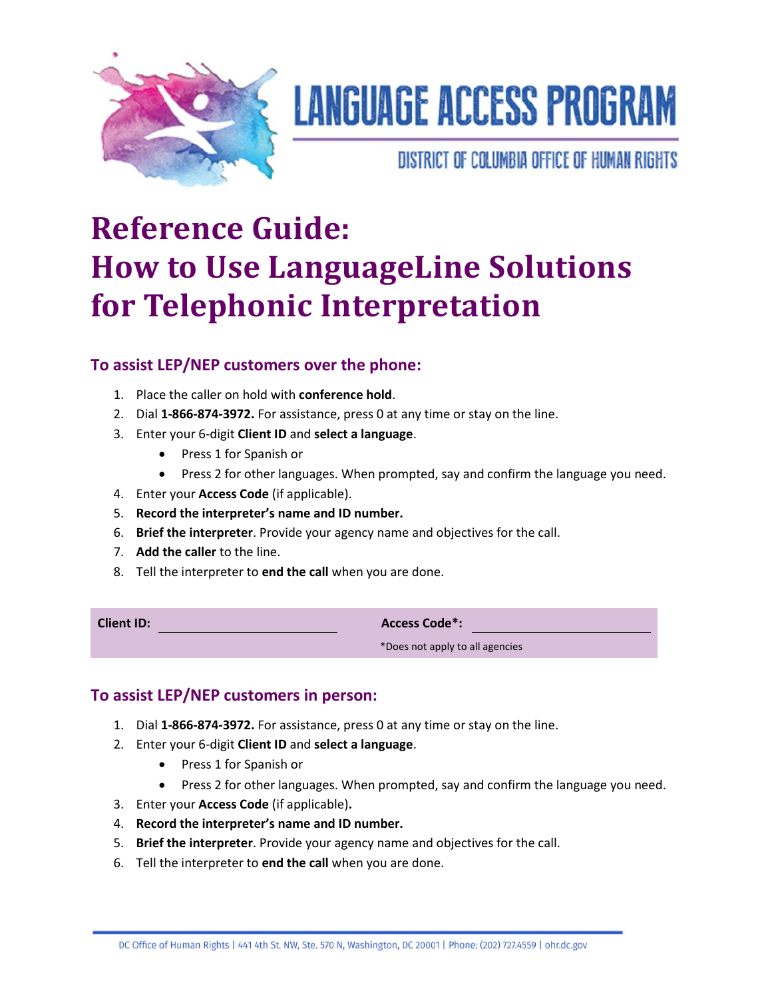

# **LANGUAGE ACCESS PROGRAM**

DISTRICT OF COLUMBIA OFFICE OF HUMAN RIGHTS

# **Reference Guide: How to Use LanguageLine Solutions for Telephonic Interpretation**

# **To assist LEP/NEP customers over the phone:**

- 1. Place the caller on hold with **conference hold**.
- 2. Dial **1-866-874-3972.** For assistance, press 0 at any time or stay on the line.
- 3. Enter your 6-digit **Client ID** and **select a language**.
	- Press 1 for Spanish or
	- Press 2 for other languages. When prompted, say and confirm the language you need.
- 4. Enter your **Access Code** (if applicable).
- 5. **Record the interpreter's name and ID number.**
- 6. **Brief the interpreter**. Provide your agency name and objectives for the call.
- 7. **Add the caller** to the line.
- 8. Tell the interpreter to **end the call** when you are done.

| <b>Client ID:</b> | <b>Access Code*:</b>            |
|-------------------|---------------------------------|
|                   | *Does not apply to all agencies |

### **To assist LEP/NEP customers in person:**

- 1. Dial **1-866-874-3972.** For assistance, press 0 at any time or stay on the line.
- 2. Enter your 6-digit **Client ID** and **select a language**.
	- Press 1 for Spanish or
	- Press 2 for other languages. When prompted, say and confirm the language you need.
- 3. Enter your **Access Code** (if applicable)**.**
- 4. **Record the interpreter's name and ID number.**
- 5. **Brief the interpreter**. Provide your agency name and objectives for the call.
- 6. Tell the interpreter to **end the call** when you are done.